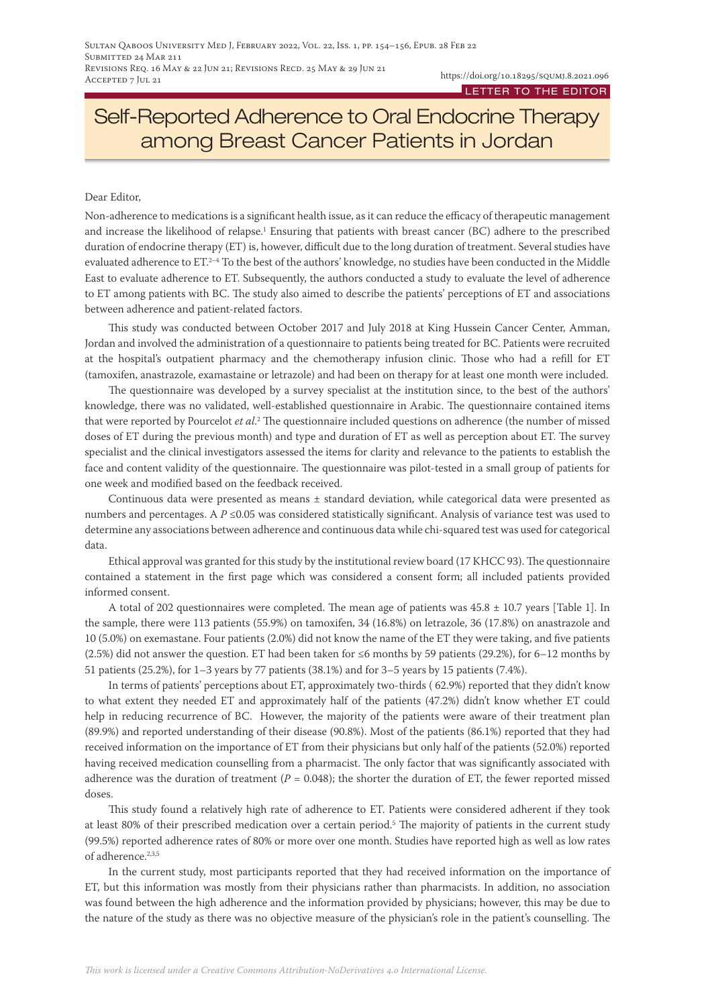# Self-Reported Adherence to Oral Endocrine Therapy among Breast Cancer Patients in Jordan

#### Dear Editor,

Non-adherence to medications is a significant health issue, as it can reduce the efficacy of therapeutic management and increase the likelihood of relapse.<sup>1</sup> Ensuring that patients with breast cancer (BC) adhere to the prescribed duration of endocrine therapy (ET) is, however, difficult due to the long duration of treatment. Several studies have evaluated adherence to ET.<sup>2-4</sup> To the best of the authors' knowledge, no studies have been conducted in the Middle East to evaluate adherence to ET. Subsequently, the authors conducted a study to evaluate the level of adherence to ET among patients with BC. The study also aimed to describe the patients' perceptions of ET and associations between adherence and patient-related factors.

This study was conducted between October 2017 and July 2018 at King Hussein Cancer Center, Amman, Jordan and involved the administration of a questionnaire to patients being treated for BC. Patients were recruited at the hospital's outpatient pharmacy and the chemotherapy infusion clinic. Those who had a refill for ET (tamoxifen, anastrazole, examastaine or letrazole) and had been on therapy for at least one month were included.

The questionnaire was developed by a survey specialist at the institution since, to the best of the authors' knowledge, there was no validated, well-established questionnaire in Arabic. The questionnaire contained items that were reported by Pourcelot *et al*. 2 The questionnaire included questions on adherence (the number of missed doses of ET during the previous month) and type and duration of ET as well as perception about ET. The survey specialist and the clinical investigators assessed the items for clarity and relevance to the patients to establish the face and content validity of the questionnaire. The questionnaire was pilot-tested in a small group of patients for one week and modified based on the feedback received.

Continuous data were presented as means ± standard deviation, while categorical data were presented as numbers and percentages. A *P* ≤0.05 was considered statistically significant. Analysis of variance test was used to determine any associations between adherence and continuous data while chi-squared test was used for categorical data.

Ethical approval was granted for this study by the institutional review board (17 KHCC 93). The questionnaire contained a statement in the first page which was considered a consent form; all included patients provided informed consent.

A total of 202 questionnaires were completed. The mean age of patients was  $45.8 \pm 10.7$  years [Table 1]. In the sample, there were 113 patients (55.9%) on tamoxifen, 34 (16.8%) on letrazole, 36 (17.8%) on anastrazole and 10 (5.0%) on exemastane. Four patients (2.0%) did not know the name of the ET they were taking, and five patients (2.5%) did not answer the question. ET had been taken for ≤6 months by 59 patients (29.2%), for 6–12 months by 51 patients (25.2%), for 1–3 years by 77 patients (38.1%) and for 3–5 years by 15 patients (7.4%).

In terms of patients' perceptions about ET, approximately two-thirds ( 62.9%) reported that they didn't know to what extent they needed ET and approximately half of the patients (47.2%) didn't know whether ET could help in reducing recurrence of BC. However, the majority of the patients were aware of their treatment plan (89.9%) and reported understanding of their disease (90.8%). Most of the patients (86.1%) reported that they had received information on the importance of ET from their physicians but only half of the patients (52.0%) reported having received medication counselling from a pharmacist. The only factor that was significantly associated with adherence was the duration of treatment ( $P = 0.048$ ); the shorter the duration of ET, the fewer reported missed doses.

This study found a relatively high rate of adherence to ET. Patients were considered adherent if they took at least 80% of their prescribed medication over a certain period.<sup>5</sup> The majority of patients in the current study (99.5%) reported adherence rates of 80% or more over one month. Studies have reported high as well as low rates of adherence.2,3,5

In the current study, most participants reported that they had received information on the importance of ET, but this information was mostly from their physicians rather than pharmacists. In addition, no association was found between the high adherence and the information provided by physicians; however, this may be due to the nature of the study as there was no objective measure of the physician's role in the patient's counselling. The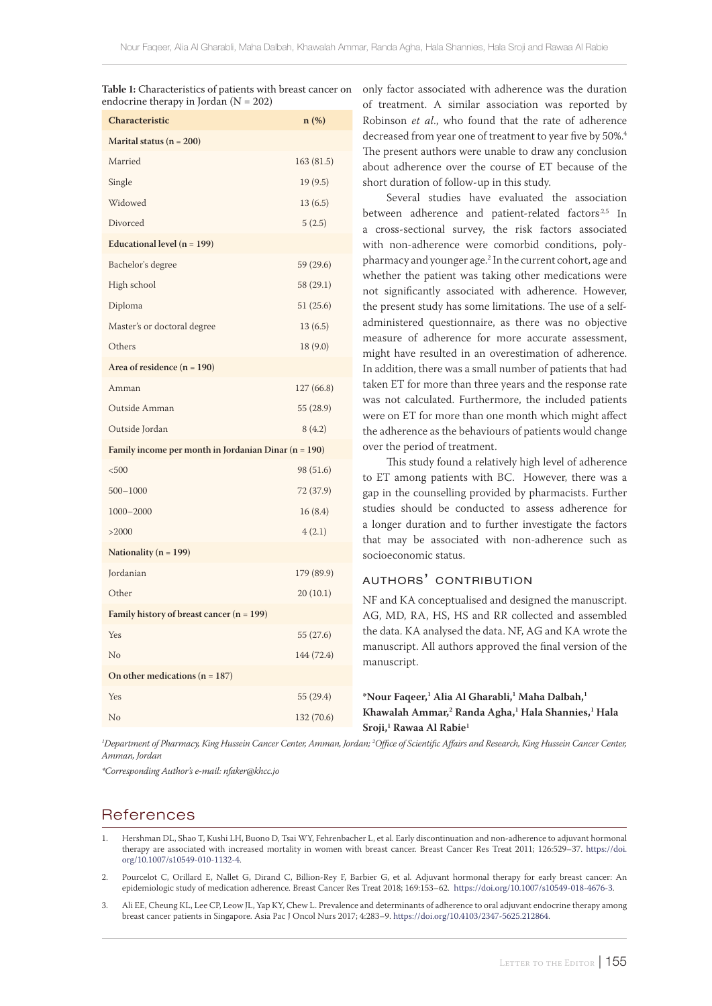| $\frac{1}{2}$<br>Characteristic                      | $n$ (%)    |
|------------------------------------------------------|------------|
| Marital status ( $n = 200$ )                         |            |
| Married                                              | 163 (81.5) |
| Single                                               | 19(9.5)    |
| Widowed                                              | 13(6.5)    |
| Divorced                                             | 5(2.5)     |
| Educational level $(n = 199)$                        |            |
| Bachelor's degree                                    | 59 (29.6)  |
| High school                                          | 58 (29.1)  |
| Diploma                                              | 51 (25.6)  |
| Master's or doctoral degree                          | 13(6.5)    |
| Others                                               | 18 (9.0)   |
| Area of residence $(n = 190)$                        |            |
| Amman                                                | 127 (66.8) |
| Outside Amman                                        | 55 (28.9)  |
| Outside Jordan                                       | 8(4.2)     |
| Family income per month in Jordanian Dinar (n = 190) |            |
| < 500                                                | 98 (51.6)  |
| 500-1000                                             | 72 (37.9)  |
| 1000-2000                                            | 16(8.4)    |
| >2000                                                | 4(2.1)     |
| Nationality ( $n = 199$ )                            |            |
| Jordanian                                            | 179 (89.9) |
| Other                                                | 20(10.1)   |
| Family history of breast cancer $(n = 199)$          |            |
| Yes                                                  | 55 (27.6)  |
| No                                                   | 144 (72.4) |
| On other medications ( $n = 187$ )                   |            |
| Yes                                                  | 55 (29.4)  |
| No                                                   | 132 (70.6) |

**Table 1:** Characteristics of patients with breast cancer on endocrine therapy in Jordan  $(N = 202)$ 

only factor associated with adherence was the duration of treatment. A similar association was reported by Robinson *et al*., who found that the rate of adherence decreased from year one of treatment to year five by 50%.<sup>4</sup> The present authors were unable to draw any conclusion about adherence over the course of ET because of the short duration of follow-up in this study.

Several studies have evaluated the association between adherence and patient-related factors<sup>2,5</sup> In a cross-sectional survey, the risk factors associated with non-adherence were comorbid conditions, polypharmacy and younger age.2 In the current cohort, age and whether the patient was taking other medications were not significantly associated with adherence. However, the present study has some limitations. The use of a selfadministered questionnaire, as there was no objective measure of adherence for more accurate assessment, might have resulted in an overestimation of adherence. In addition, there was a small number of patients that had taken ET for more than three years and the response rate was not calculated. Furthermore, the included patients were on ET for more than one month which might affect the adherence as the behaviours of patients would change over the period of treatment.

This study found a relatively high level of adherence to ET among patients with BC. However, there was a gap in the counselling provided by pharmacists. Further studies should be conducted to assess adherence for a longer duration and to further investigate the factors that may be associated with non-adherence such as socioeconomic status.

### authors' contribution

NF and KA conceptualised and designed the manuscript. AG, MD, RA, HS, HS and RR collected and assembled the data. KA analysed the data. NF, AG and KA wrote the manuscript. All authors approved the final version of the manuscript.

#### **\*Nour Faqeer,1 Alia Al Gharabli,1 Maha Dalbah,1 Khawalah Ammar,2 Randa Agha,1 Hala Shannies,1 Hala Sroji,1 Rawaa Al Rabie1**

<sup>1</sup>Department of Pharmacy, King Hussein Cancer Center, Amman, Jordan; <sup>2</sup>Office of Scientific Affairs and Research, King Hussein Cancer Center, *Amman, Jordan*

*\*Corresponding Author's e-mail: nfaker@khcc.jo*

## **References**

- 1. Hershman DL, Shao T, Kushi LH, Buono D, Tsai WY, Fehrenbacher L, et al. Early discontinuation and non-adherence to adjuvant hormonal therapy are associated with increased mortality in women with breast cancer. Breast Cancer Res Treat 2011; 126:529–37. [https://doi.](https://doi.org/10.1007/s10549-010-1132-4) [org/10.1007/s10549-010-1132-4](https://doi.org/10.1007/s10549-010-1132-4).
- 2. Pourcelot C, Orillard E, Nallet G, Dirand C, Billion-Rey F, Barbier G, et al. Adjuvant hormonal therapy for early breast cancer: An epidemiologic study of medication adherence. Breast Cancer Res Treat 2018; 169:153–62. <https://doi.org/10.1007/s10549-018-4676-3>.
- Ali EE, Cheung KL, Lee CP, Leow JL, Yap KY, Chew L. Prevalence and determinants of adherence to oral adjuvant endocrine therapy among breast cancer patients in Singapore. Asia Pac J Oncol Nurs 2017; 4:283–9. [https://doi.org/10.4103/2347-5625.212864.](https://doi.org/10.4103/2347-5625.212864)